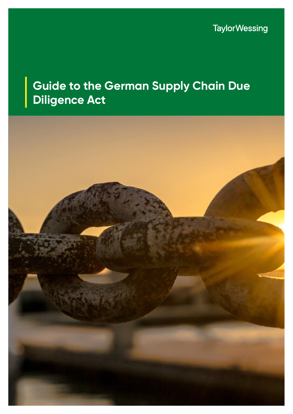**TaylorWessing** 

# **Guide to the German Supply Chain Due Diligence Act**

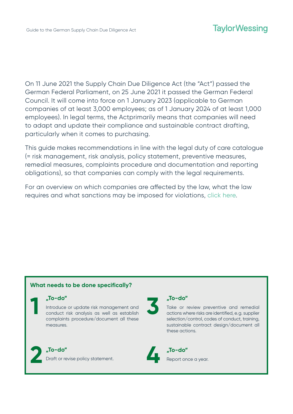On 11 June 2021 the Supply Chain Due Diligence Act (the "Act") passed the German Federal Parliament, on 25 June 2021 it passed the German Federal Council. It will come into force on 1 January 2023 (applicable to German companies of at least 3,000 employees; as of 1 January 2024 of at least 1,000 employees). In legal terms, the Actprimarily means that companies will need to adapt and update their compliance and sustainable contract drafting, particularly when it comes to purchasing.

This guide makes recommendations in line with the legal duty of care catalogue (= risk management, risk analysis, policy statement, preventive measures, remedial measures, complaints procedure and documentation and reporting obligations), so that companies can comply with the legal requirements.

For an overview on which companies are affected by the law, what the law requires and what sanctions may be imposed for violations, [click here](https://www.taylorwessing.com/en/insights-and-events/insights/2021/07/overview-of-the-german-supply-chain-due-diligence-act).

# **What needs to be done specifically?**

# **"To-do"**

Introduce or update risk management and conduct risk analysis as well as establish complaints procedure/document all these measures. **110-do"**<br>
Introduce or update risk management and<br>
conduct risk analysis as well as establish<br>
complaints procedure/document all these



**"To-do"**  Draft or revise policy statement. **2 1.10-do"**<br>Draft or revise policy statement.



# **"To-do"**

Take or review preventive and remedial actions where risks are identified, e.g. supplier selection/control, codes of conduct, training, sustainable contract design/document all these actions.



**"To-do"** Report once a year.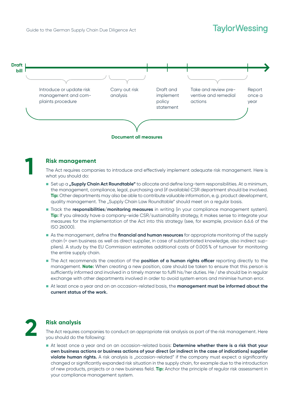# **TaylorWessing**



#### **Risk management**

The Act requires companies to introduce and effectively implement adequate risk management. Here is what you should do:

- n Set up a **"Supply Chain Act Roundtable"** to allocate and define long-term responsibilities. At a minimum, the management, compliance, legal, purchasing and (if available) CSR department should be involved. **Tip:** Other departments may also be able to contribute valuable information, e.g. product development, quality management. The "Supply Chain Law Roundtable" should meet on a regular basis.
- **n** Track the **responsibilities/monitoring measures** in writing (in your compliance management system). **Tip:** If you already have a company-wide CSR/sustainability strategy, it makes sense to integrate your measures for the implementation of the Act into this strategy (see, for example, provision 6.6.6 of the ISO 26000).
- n As the management, define the **financial and human resources** for appropriate monitoring of the supply chain (= own business as well as direct supplier, in case of substantiated knowledge, also indirect suppliers). A study by the EU Commission estimates additional costs of 0.005% of turnover for monitoring the entire supply chain.
- **n** The Act recommends the creation of the **position of a human rights officer** reporting directly to the management. **Note:** When creating a new position, care should be taken to ensure that this person is sufficiently informed and involved in a timely manner to fulfil his/her duties. He/she should be in regular exchange with other departments involved in order to avoid system errors and minimise human error.
- n At least once a year and on an occasion-related basis, the **management must be informed about the current status of the work.**



**1**

#### **Risk analysis**

The Act requires companies to conduct an appropriate risk analysis as part of the risk management. Here you should do the following:

■ At least once a year and on an occasion-related basis: Determine whether there is a risk that your **own business actions or business actions of your direct (or indirect in the case of indications) supplier violate human rights.** A risk analysis is "occasion-related" if the company must expect a significantly changed or significantly expanded risk situation in the supply chain, for example due to the introduction of new products, projects or a new business field. **Tip:** Anchor the principle of regular risk assessment in your compliance management system.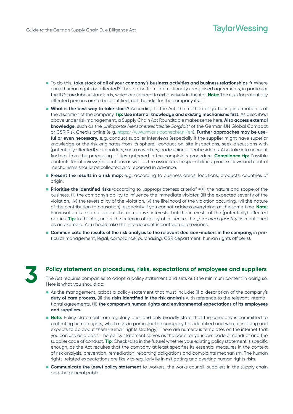# **TaylorWessing**

- To do this, **take stock of all of your company's business activities and business relationships →** Where could human rights be affected? These arise from internationally recognised agreements, in particular the ILO core labour standards, which are referred to exhaustively in the Act. **Note:** The risks for potentially affected persons are to be identified, not the risks for the company itself.
- **Nhat is the best way to take stock?** According to the Act, the method of gathering information is at the discretion of the company. **Tip: Use internal knowledge and existing mechanisms first.** As described above under risk management, a Supply Chain Act Roundtable makes sense here. **Also access external knowledge,** such as the "Infoportal Menschenrechtliche Sorgfalt" of the German UN Global Compact or CSR Risk Checks online (e.g. [https://www.mvorisicochecker.nl/en\).](https://www.mvorisicochecker.nl/en) **Further approaches may be useful or even necessary,** e.g. conduct supplier interviews (especially if the supplier might have superior knowledge or the risk originates from its sphere), conduct on-site inspections, seek discussions with (potentially affected) stakeholders, such as workers, trade unions, local residents. Also take into account findings from the processing of tips gathered in the complaints procedure. **Compliance tip:** Possible contents for interviews/inspections as well as the associated responsibilities, process flows and control mechanisms should be collected and recorded in advance.
- **Present the results in a risk map:** e.g. according to business areas, locations, products, countries of origin.
- **Prioritise the identified risks** (according to "appropriateness criteria" = (i) the nature and scope of the business, (ii) the company's ability to influence the immediate violator, (iii) the expected severity of the violation, (iv) the reversibility of the violation, (v) the likelihood of the violation occurring, (vi) the nature of the contribution to causation), especially if you cannot address everything at the same time. **Note:**  Prioritisation is also not about the company's interests, but the interests of the (potentially) affected parties. **Tip:** In the Act, under the criterion of ability of influence, the "procured quantity" is mentioned as an example. You should take this into account in contractual provisions.
- n **Communicate the results of the risk analysis to the relevant decision-makers in the company,** in particular management, legal, compliance, purchasing, CSR department, human rights officer(s).



#### **Policy statement on procedures, risks, expectations of employees and suppliers**

The Act requires companies to adopt a policy statement and sets out the minimum content in doing so. Here is what you should do:

- n As the management, adopt a policy statement that must include: (i) a description of the company's **duty of care process,** (ii) the **risks identified in the risk analysis** with reference to the relevant international agreements, (iii) **the company's human rights and environmental expectations of its employees and suppliers.**
- **Note:** Policy statements are regularly brief and only broadly state that the company is committed to protecting human rights, which risks in particular the company has identified and what it is doing and expects to do about them (human rights strategy). There are numerous templates on the internet that you can use as a basis. The policy statement serves as the basis for your own code of conduct and the supplier code of conduct. **Tip:** Check (also in the future) whether your existing policy statement is specific enough, as the Act requires that the company at least specifies its essential measures in the context of risk analysis, prevention, remediation, reporting obligations and complaints mechanism. The human rights-related expectations are likely to regularly lie in mitigating and averting human rights risks.
- **Communicate the (new) policy statement** to workers, the works council, suppliers in the supply chain and the general public.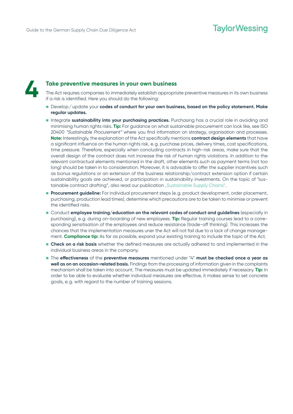

#### **Take preventive measures in your own business**

The Act requires companies to immediately establish appropriate preventive measures in its own business if a risk is identified. Here you should do the following:

- n Develop/update your **codes of conduct for your own business, based on the policy statement. Make regular updates.**
- **n** Integrate **sustainability into your purchasing practices.** Purchasing has a crucial role in avoiding and minimising human rights risks. **Tip:** For guidance on what sustainable procurement can look like, see ISO 20400 "Sustainable Procurement" where you find information on strategy, organisation and processes. **Note:** Interestingly, the explanation of the Act specifically mentions **contract design elements** that have a significant influence on the human rights risk, e.g. purchase prices, delivery times, cost specifications, time pressure. Therefore, especially when concluding contracts in high-risk areas, make sure that the overall design of the contract does not increase the risk of human rights violations. In addition to the relevant contractual elements mentioned in the draft, other elements such as payment terms (not too long) should be taken in to consideration. Moreover, it is advisable to offer the supplier incentives such as bonus regulations or an extension of the business relationship/contract extension option if certain sustainability goals are achieved, or participation in sustainability investments. On the topic of "sus-tainable contract drafting", also read our publication ["Sustainable Supply Chains](https://iot.taylorwessing.com/sustainable-supply-chains-the-supply-chain-act-and-sustainable-contract-design/)".
- **Procurement quideline:** For individual procurement steps (e.g. product development, order placement, purchasing, production lead times), determine which precautions are to be taken to minimise or prevent the identified risks.
- **n** Conduct **employee training/education on the relevant codes of conduct and guidelines (especially in** purchasing), e.g. during on-boarding of new employees. **Tip:** Regular training courses lead to a corresponding sensitisation of the employees and reduce resistance (trade-off thinking). This increases the chances that the implementation measures uner the Act will not fail due to a lack of change management. **Compliance tip:** As far as possible, expand your existing training to include the topic of the Act.
- **n** Check on a risk basis whether the defined measures are actually adhered to and implemented in the individual business areas in the company.
- n The **effectiveness** of the **preventive measures** mentioned under "4" **must be checked once a year as well as on an occasion-related basis.** Findings from the processing of information given in the complaints mechanism shall be taken into account. The measures must be updated immediately if necessary. **Tip:** In order to be able to evaluate whether individual measures are effective, it makes sense to set concrete goals, e.g. with regard to the number of training sessions.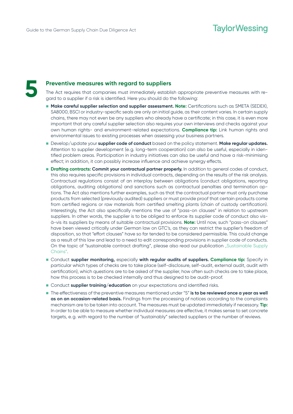

## **Preventive measures with regard to suppliers**

The Act requires that companies must immediately establish appropriate preventive measures with regard to a supplier if a risk is identified. Here you should do the following:

- **n Make careful supplier selection and supplier assessment. Note:** Certifications such as SMETA (SEDEX), SA8000, BSCI or industry-specific seals are only an initial guide, as their content varies. In certain supply chains, there may not even be any suppliers who already have a certificate; in this case, it is even more important that any careful supplier selection also requires your own interviews and checks against your own human rights- and environment-related expectations. **Compliance tip:** Link human rights and environmental issues to existing processes when assessing your business partners.
- n Develop/update your **supplier code of conduct** based on the policy statement. **Make regular updates.**  Attention to supplier development (e.g. long-term cooperation) can also be useful, especially in identified problem areas. Participation in industry initiatives can also be useful and have a risk-minimising effect; in addition, it can possibly increase influence and achieve synergy effects.
- **n Drafting contracts: Commit your contractual partner properly.** In addition to general codes of conduct, this also requires specific provisions in individual contracts, depending on the results of the risk analysis. Contractual regulations consist of an interplay between obligations (conduct obligations, reporting obligations, auditing obligations) and sanctions such as contractual penalties and termination options. The Act also mentions further examples, such as that the contractual partner must only purchase products from selected (previously audited) suppliers or must provide proof that certain products come from certified regions or raw materials from certified smelting plants (chain of custody certification). Interestingly, the Act also specifically mentions the use of "pass-on clauses" in relation to upstream suppliers. In other words, the supplier is to be obliged to enforce its supplier code of conduct also visà-vis its suppliers by means of suitable contractual provisions. **Note:** Until now, such "pass-on clauses" have been viewed critically under German law on GTC's, as they can restrict the supplier's freedom of disposition, so that "effort clauses" have so far tended to be considered permissible. This could change as a result of this law and lead to a need to edit corresponding provisions in supplier code of conducts. On the topic of "sustainable contract drafting", please also read our publication "[Sustainable Supply](https://iot.taylorwessing.com/sustainable-supply-chains-the-supply-chain-act-and-sustainable-contract-design/) [Chains"](https://iot.taylorwessing.com/sustainable-supply-chains-the-supply-chain-act-and-sustainable-contract-design/)[.](https://iot.taylorwessing.com/sustainable-supply-chains-das-lieferkettengesetz-und-nachhaltige-vertragsgestaltung/)
- n Conduct **supplier monitoring,** especially **with regular audits of suppliers. Compliance tip:** Specify in particular which types of checks are to take place (self-disclosure, self-audit, external audit, audit with certification), which questions are to be asked of the supplier, how often such checks are to take place, how this process is to be checked internally and thus designed to be audit-proof.
- **n** Conduct **supplier training/education** on your expectations and identified risks.
- The effectiveness of the preventive measures mentioned under "5" is to be reviewed once a year as well **as on an occasion-related basis.** Findings from the processing of notices according to the complaints mechanism are to be taken into account. The measures must be updated immediately if necessary. **Tip:**  In order to be able to measure whether individual measures are effective, it makes sense to set concrete targets, e.g. with regard to the number of "sustainably" selected suppliers or the number of reviews.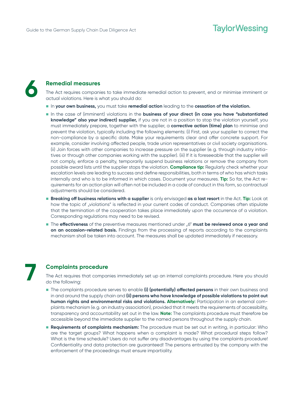

## **Remedial measures**

The Act requires companies to take immediate remedial action to prevent, end or minimise imminent or actual violations. Here is what you should do:

- n In **your own business,** you must take **remedial action** leading to the **cessation of the violation.**
- **n** In the case of (imminent) violations in the **business of your direct (in case you have "substantiated" knowledge" also your indirect) supplier,** if you are not in a position to stop the violation yourself, you must immediately prepare, together with the supplier, a **corrective action (time) plan** to minimise and prevent the violation, typically including the following elements: (i) First, ask your supplier to correct the non-compliance by a specific date. Make your requirements clear and offer concrete support. For example, consider involving affected people, trade union representatives or civil society organisations. (ii) Join forces with other companies to increase pressure on the supplier (e.g. through industry initiatives or through other companies working with the supplier). (iii) If it is foreseeable that the supplier will not comply, enforce a penalty, temporarily suspend business relations or remove the company from possible award lists until the supplier stops the violation. **Compliance tip:** Regularly check whether your escalation levels are leading to success and define responsibilities, both in terms of who has which tasks internally and who is to be informed in which cases. Document your measures. **Tip:** So far, the Act requirements for an action plan will often not be included in a code of conduct in this form, so contractual adjustments should be considered.
- n **Breaking off business relations with a supplier** is only envisaged **as a last resort** in the Act. **Tip:** Look at how the topic of "violations" is reflected in your current codes of conduct. Companies often stipulate that the termination of the cooperation takes place immediately upon the occurrence of a violation. Corresponding regulations may need to be revised.
- The **effectiveness** of the preventive measures mentioned under "6" **must be reviewed once a year and on an occasion-related basis.** Findings from the processing of reports according to the complaints mechanism shall be taken into account. The measures shall be updated immediately if necessary.



#### **Complaints procedure**

The Act requires that companies immediately set up an internal complaints procedure. Here you should do the following:

- n The complaints procedure serves to enable **(i) (potentially) affected persons** in their own business and in and around the supply chain and **(ii) persons who have knowledge of possible violations to point out human rights and environmental risks and violations. Alternatively:** Participation in an external complaints mechanism (e.g. an industry association), provided that it meets the requirements of accessibility, transparency and accountability set out in the law. **Note:** The complaints procedure must therefore be accessible beyond the immediate supplier to the named persons throughout the supply chain.
- **Requirements of complaints mechanism:** The procedure must be set out in writing, in particular: Who are the target groups? What happens when a complaint is made? What procedural steps follow? What is the time schedule? Users do not suffer any disadvantages by using the complaints procedure! Confidentiality and data protection are guaranteed! The persons entrusted by the company with the enforcement of the proceedings must ensure impartiality.